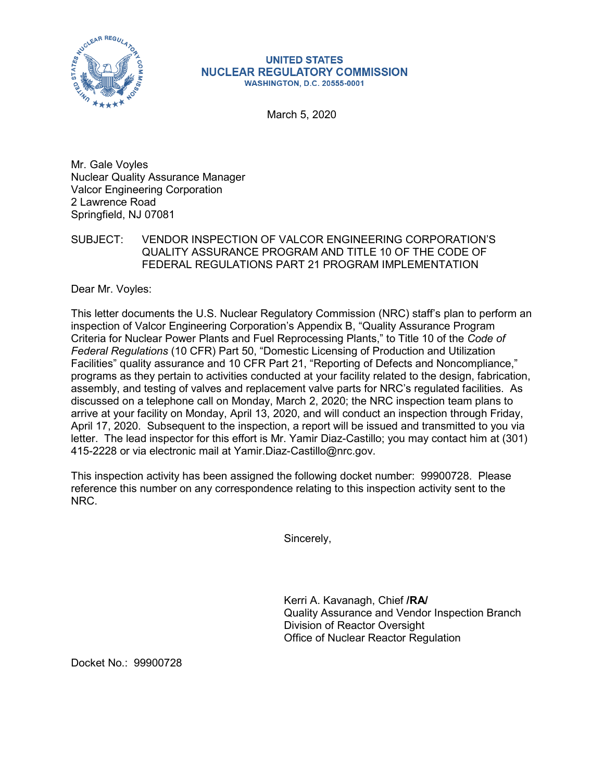

## **UNITED STATES NUCLEAR REGULATORY COMMISSION WASHINGTON, D.C. 20555-0001**

March 5, 2020

Mr. Gale Voyles Nuclear Quality Assurance Manager Valcor Engineering Corporation 2 Lawrence Road Springfield, NJ 07081

SUBJECT: VENDOR INSPECTION OF VALCOR ENGINEERING CORPORATION'S QUALITY ASSURANCE PROGRAM AND TITLE 10 OF THE CODE OF FEDERAL REGULATIONS PART 21 PROGRAM IMPLEMENTATION

Dear Mr. Voyles:

This letter documents the U.S. Nuclear Regulatory Commission (NRC) staff's plan to perform an inspection of Valcor Engineering Corporation's Appendix B, "Quality Assurance Program Criteria for Nuclear Power Plants and Fuel Reprocessing Plants," to Title 10 of the *Code of Federal Regulations* (10 CFR) Part 50, "Domestic Licensing of Production and Utilization Facilities" quality assurance and 10 CFR Part 21, "Reporting of Defects and Noncompliance," programs as they pertain to activities conducted at your facility related to the design, fabrication, assembly, and testing of valves and replacement valve parts for NRC's regulated facilities. As discussed on a telephone call on Monday, March 2, 2020; the NRC inspection team plans to arrive at your facility on Monday, April 13, 2020, and will conduct an inspection through Friday, April 17, 2020. Subsequent to the inspection, a report will be issued and transmitted to you via letter. The lead inspector for this effort is Mr. Yamir Diaz-Castillo; you may contact him at (301) 415-2228 or via electronic mail at Yamir.Diaz-Castillo@nrc.gov.

This inspection activity has been assigned the following docket number: 99900728. Please reference this number on any correspondence relating to this inspection activity sent to the NRC.

Sincerely,

Kerri A. Kavanagh, Chief **/RA/** Quality Assurance and Vendor Inspection Branch Division of Reactor Oversight Office of Nuclear Reactor Regulation

Docket No.: 99900728